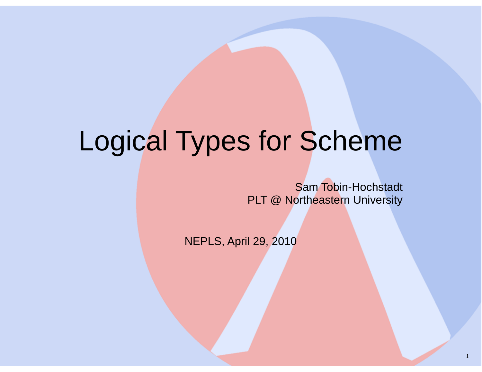## Logical Types for Scheme

Sam Tobin-HochstadtPLT @ Northeastern University

NEPLS, April 29, 2010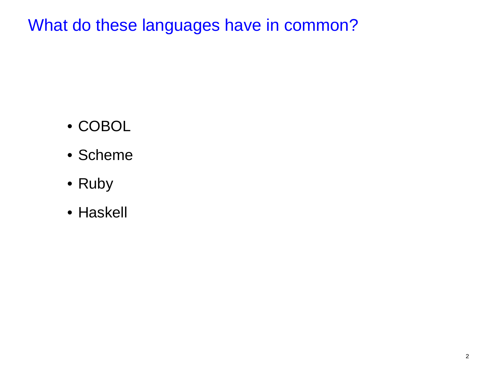What do these languages have in common?

- COBOL
- Scheme
- Ruby
- Haskell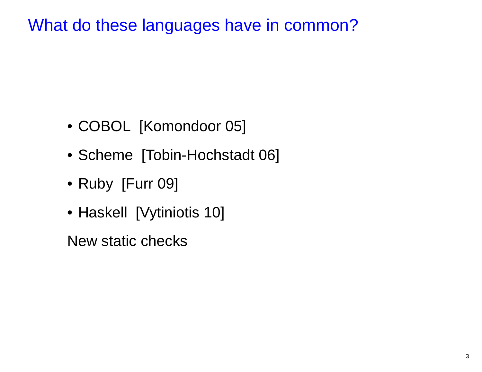What do these languages have in common?

- COBOL [Komondoor 05]
- Scheme [Tobin-Hochstadt 06]
- Ruby [Furr 09]
- Haskell [Vytiniotis 10]

New static checks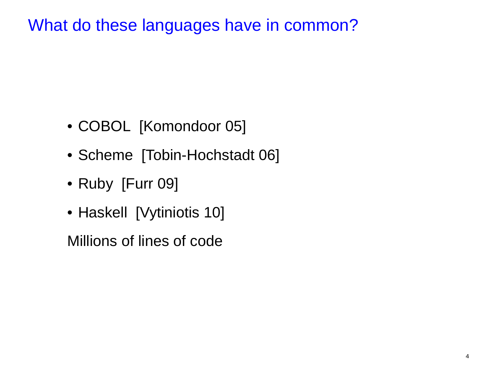What do these languages have in common?

- COBOL [Komondoor 05]
- Scheme [Tobin-Hochstadt 06]
- Ruby [Furr 09]
- Haskell [Vytiniotis 10]

Millions of lines of code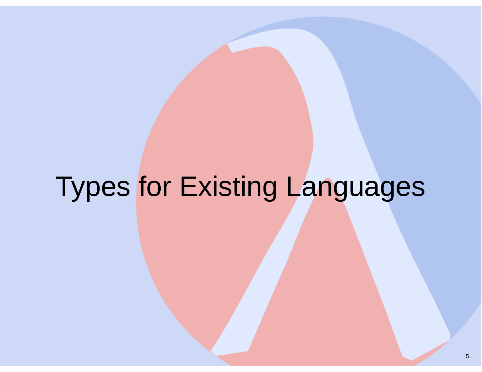## Types for Existing Languages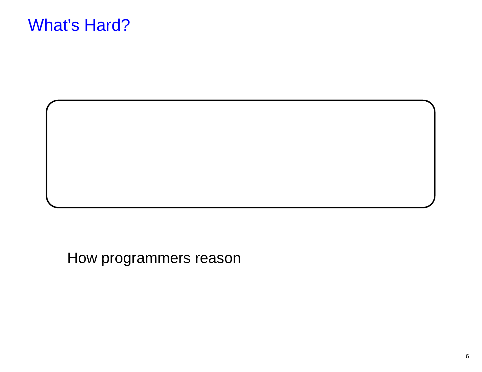#### What's Hard?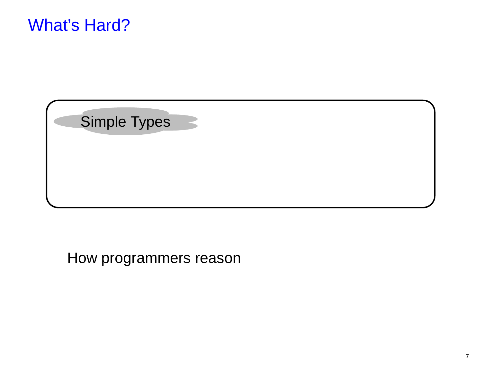

Simple Types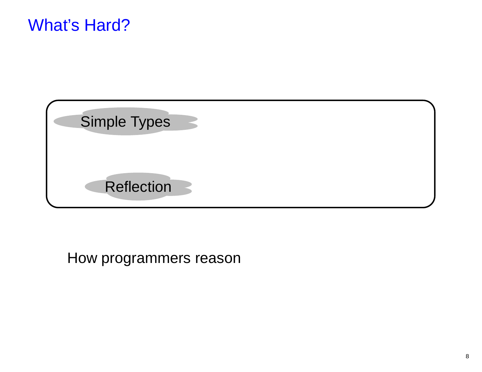#### What's Hard?

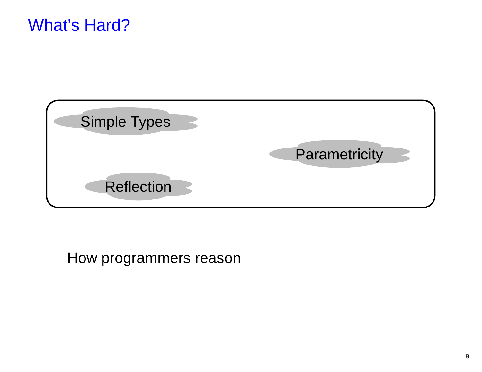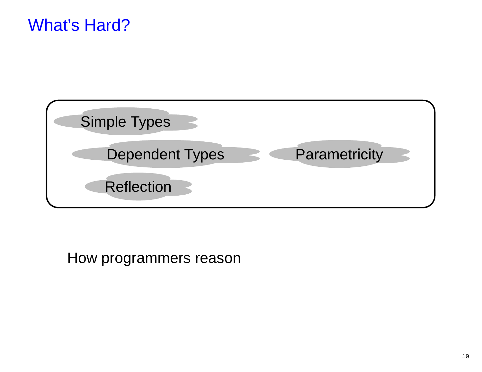#### What's Hard?

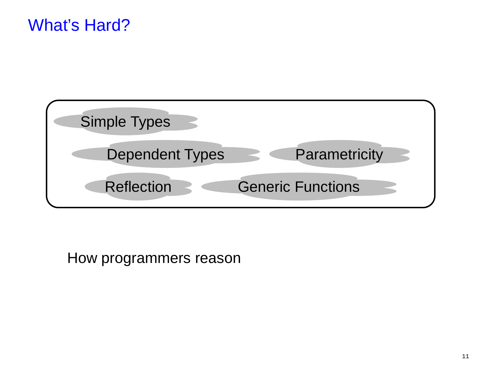#### What's Hard?

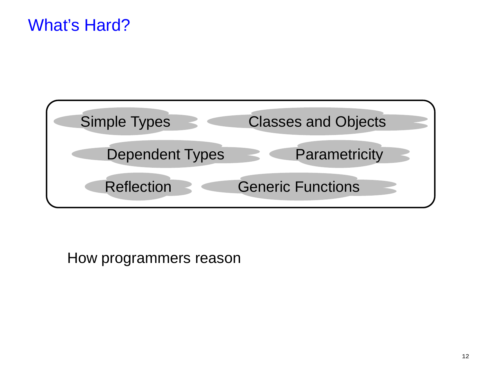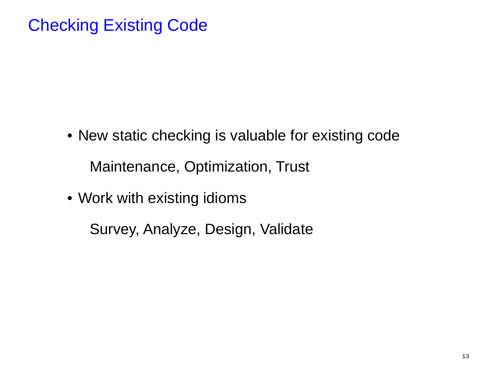### Checking Existing Code

- New static checking is valuable for existing codeMaintenance, Optimization, Trust
- Work with existing idioms

Survey, Analyze, Design, Validate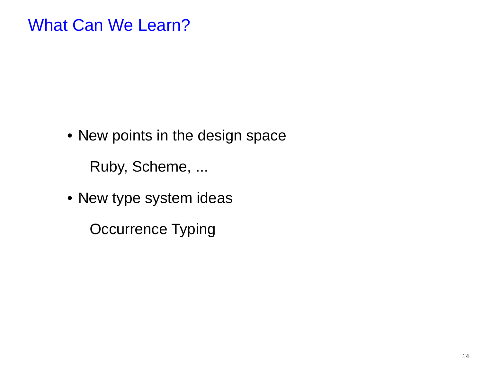#### What Can We Learn?

• New points in the design space

Ruby, Scheme, ...

• New type system ideas

Occurrence Typing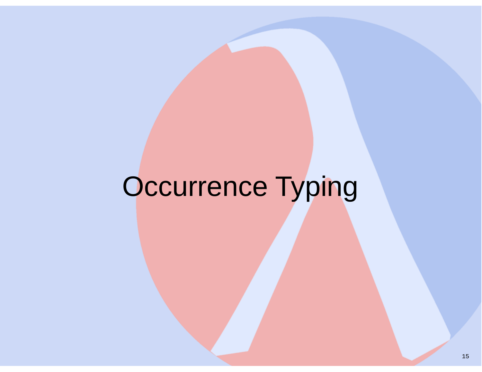# Occurrence Typing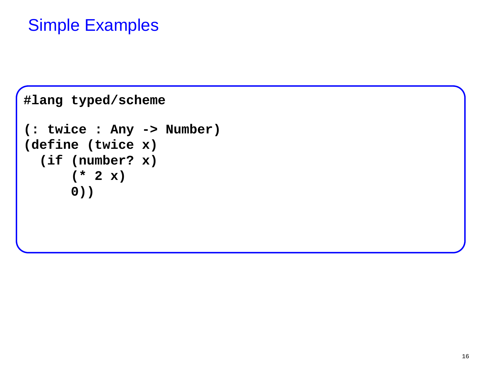```
#lang typed/scheme (: twice : Any -> Number)(define (twice x)
 (if (number? x)(* 2 x)0))
```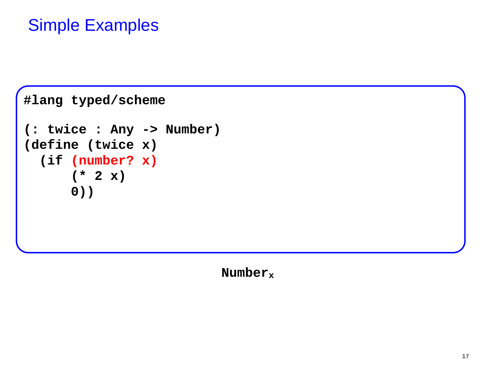```
#lang typed/scheme (: twice : Any -> Number)(define (twice x)
 (if (number? x)(* 2 x)0))
```
 **Numberx**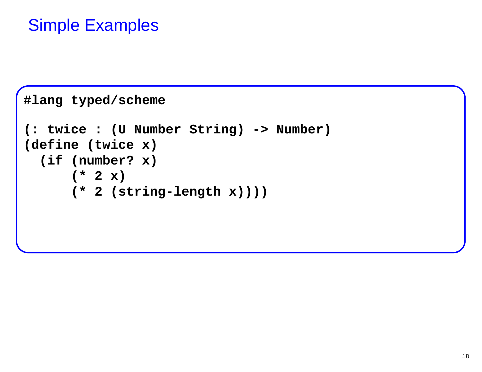```
#lang typed/scheme (: twice : (U Number String) -> Number)(define (twice x)
 (if (number? x)(* 2 x)
(* 2 (string-length x))))
```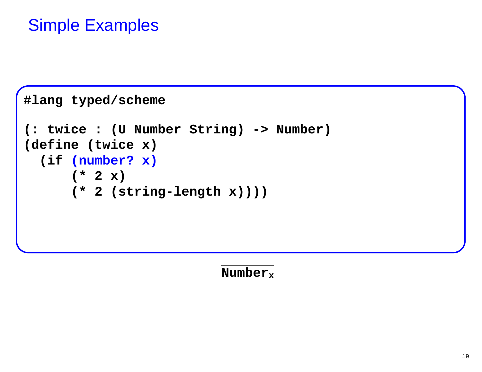```
#lang typed/scheme (: twice : (U Number String) -> Number)(define (twice x)
 (if (number? x)(* 2 x)
(* 2 (string-length x))))
```
**Numberx**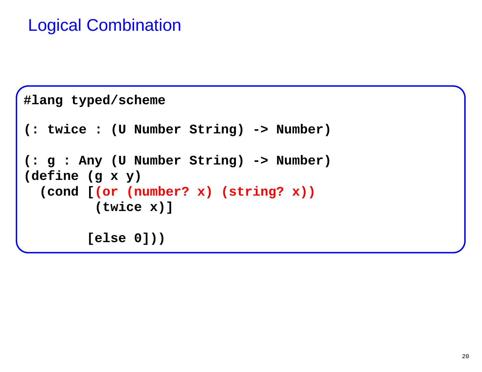```
#lang typed/scheme (: twice : (U Number String) -> Number)(: g : Any (U Number String) -> Number)(define (g x y)
 (cond [(or (number? x) (string? x))(twice x)][else 0]))
```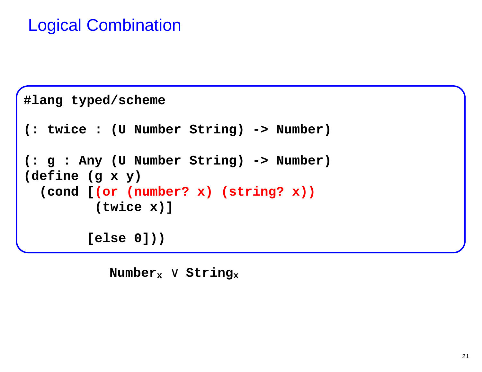```
#lang typed/scheme (: twice : (U Number String) -> Number)(: g : Any (U Number String) -> Number)(define (g x y)
 (cond [(or (number? x) (string? x))(twice x)][else 0]))
```
 **Numberx** <sup>∨</sup> **String<sup>x</sup>**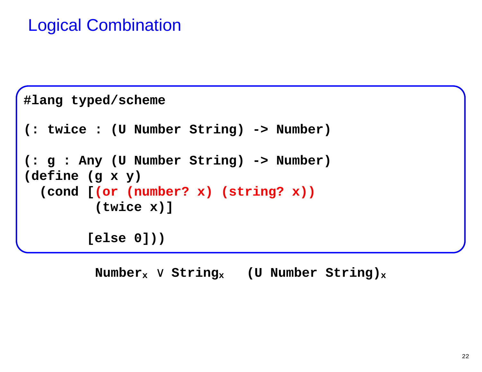```
#lang typed/scheme (: twice : (U Number String) -> Number)(: g : Any (U Number String) -> Number)(define (g x y)
 (cond [(or (number? x) (string? x))(twice x)][else 0]))
```
**Numberx** <sup>∨</sup> **Stringx (U Number String)<sup>x</sup>**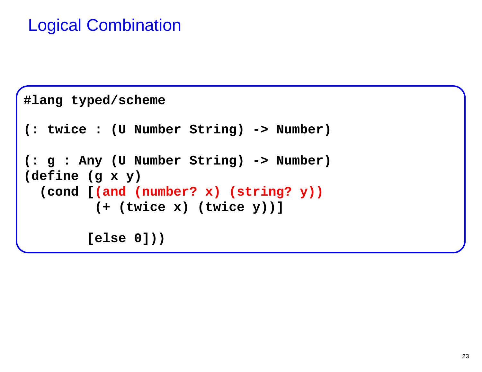```
#lang typed/scheme (: twice : (U Number String) -> Number)(: g : Any (U Number String) -> Number)(define (g x y)
 (cond [(and (number? x) (string? y))(+ (twice x) (twice y))][else 0]))
```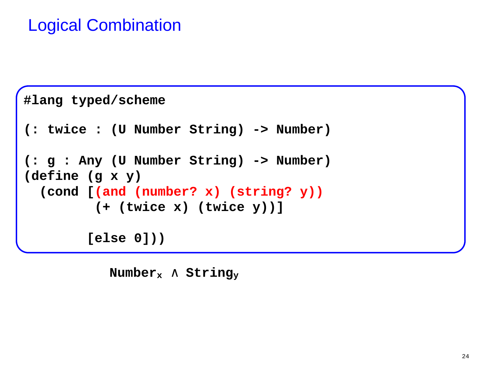```
#lang typed/scheme (: twice : (U Number String) -> Number)(: g : Any (U Number String) -> Number)(define (g x y)
 (cond [(and (number? x) (string? y))(+ (twice x) (twice y))][else 0]))
```
 **Numberx** <sup>∧</sup> **String<sup>y</sup>**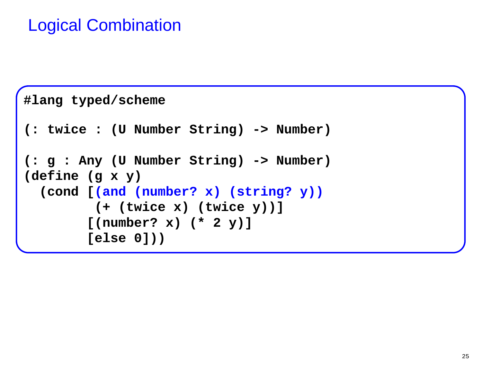```
#lang typed/scheme (: twice : (U Number String) -> Number)(: g : Any (U Number String) -> Number)(define (g x y)
 (cond [(and (number? x) (string? y))(+ (twice x) (twice y))][(number? x) (* 2 y)][else 0]))
```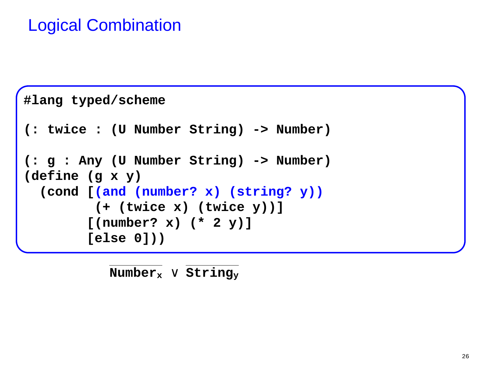```
#lang typed/scheme (: twice : (U Number String) -> Number)(: g : Any (U Number String) -> Number)(define (g x y)
 (cond [(and (number? x) (string? y))(+ (twice x) (twice y))][(number? x) (* 2 y)][else 0]))
```
**Numberx** <sup>∨</sup> **String<sup>y</sup>**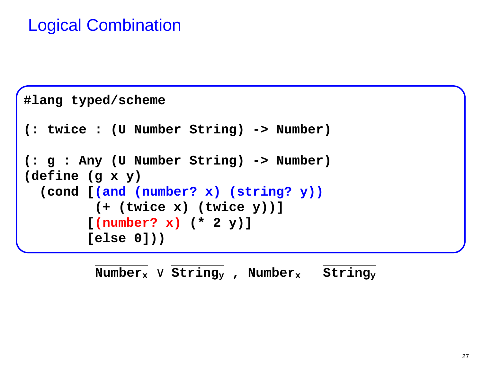```
#lang typed/scheme (: twice : (U Number String) -> Number)(: g : Any (U Number String) -> Number)(define (g x y)
 (cond [(and (number? x) (string? y))(+ (twice x) (twice y))][(number? x) (* 2 y)][else 0]))
```
**Numberx** <sup>∨</sup> **Stringy , Number<sup>x</sup> String<sup>y</sup>**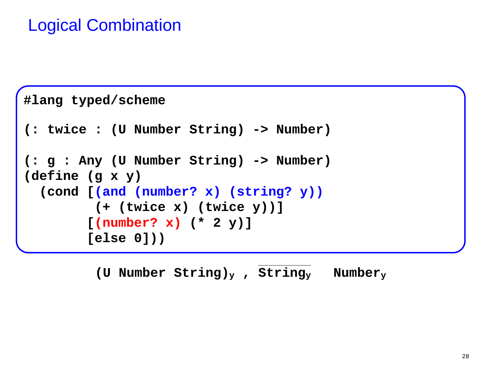```
#lang typed/scheme (: twice : (U Number String) -> Number)(: g : Any (U Number String) -> Number)(define (g x y)
 (cond [(and (number? x) (string? y))(+ (twice x) (twice y))][(number? x) (* 2 y)][else 0]))
```
**(U Number String)y , Stringy Numbery**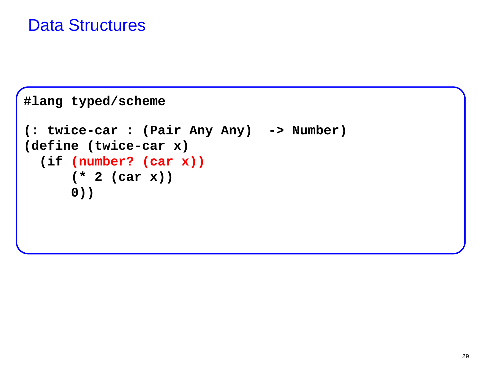#### Data Structures

```
#lang typed/scheme (: twice-car : (Pair Any Any) -> Number)(define (twice-car x)
 (if (number? (car x))(* 2 (car x))0))
```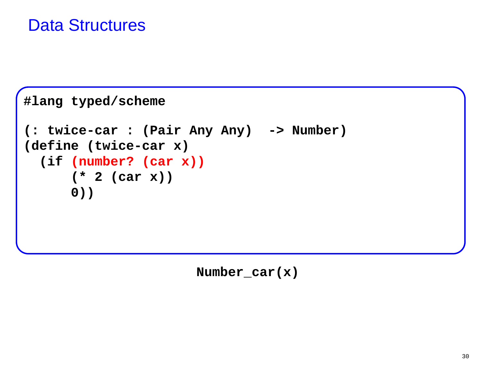#### Data Structures

```
#lang typed/scheme (: twice-car : (Pair Any Any) -> Number)(define (twice-car x)
 (if (number? (car x))(* 2 (car x))0))
```
 **Number\_car(x)**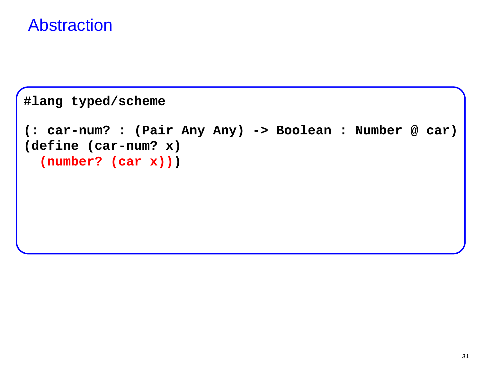#### Abstraction

```
#lang typed/scheme (: car-num? : (Pair Any Any) -> Boolean : Number @ car)(define (car-num? x)
(number? (car x)))
```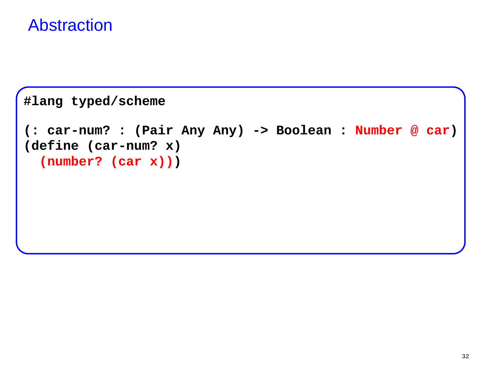#### Abstraction

```
#lang typed/scheme (: car-num? : (Pair Any Any) -> Boolean : Number @ car)(define (car-num? x)
(number? (car x)))
```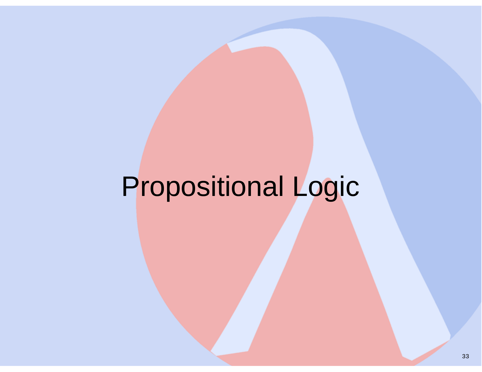# Propositional Logic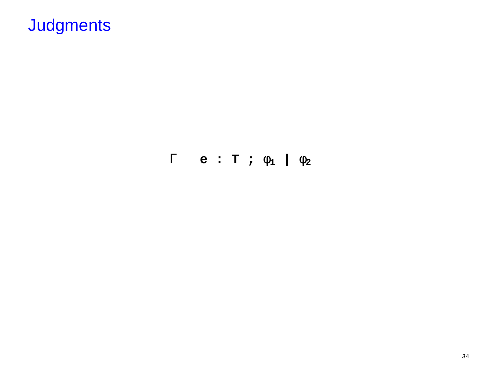$\Gamma$  e: T;  $\phi_1$  |  $\phi_2$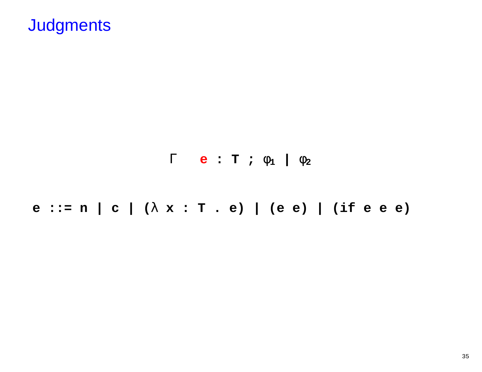

e ::= n | c |  $(\lambda x : T . e)$  | (e e) | (if e e e)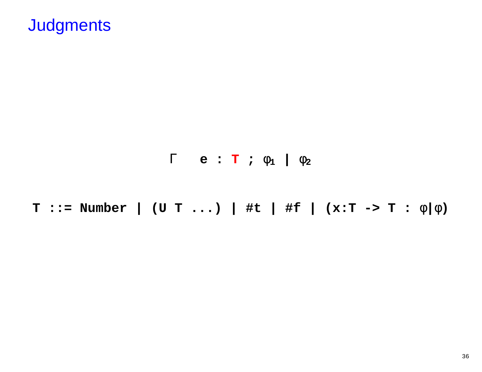<sup>Γ</sup> **e : T ;** φ**1 |** φ**2**

**T ::= Number | (U T ...) | #t | #f | (x:T -> T :** φ**|**φ**)**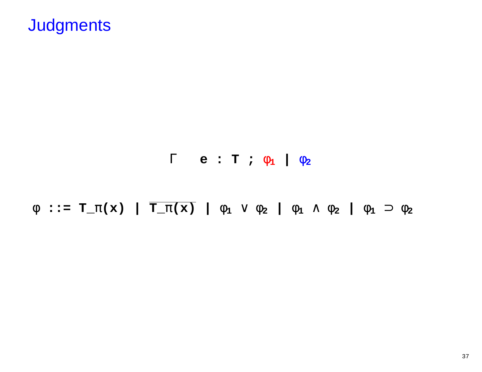#### <sup>Γ</sup> **e : T ;** φ**1 |** φ**2**

φ **::= T\_**π**(x) | T\_**π**(x) |** φ**1** <sup>∨</sup> <sup>φ</sup>**2 |** φ**<sup>1</sup>** <sup>∧</sup> <sup>φ</sup>**2 |** φ**<sup>1</sup>** <sup>⊃</sup> <sup>φ</sup>**<sup>2</sup>**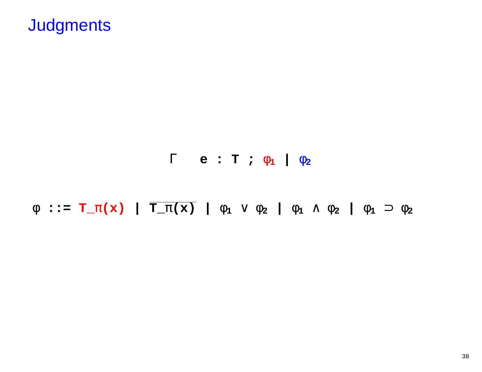#### <sup>Γ</sup> **e : T ;** φ**1 |** φ**2**

φ **::= T\_**π**(x) | T\_**π**(x) |** φ**1** <sup>∨</sup> <sup>φ</sup>**2 |** φ**<sup>1</sup>** <sup>∧</sup> <sup>φ</sup>**2 |** φ**<sup>1</sup>** <sup>⊃</sup> <sup>φ</sup>**<sup>2</sup>**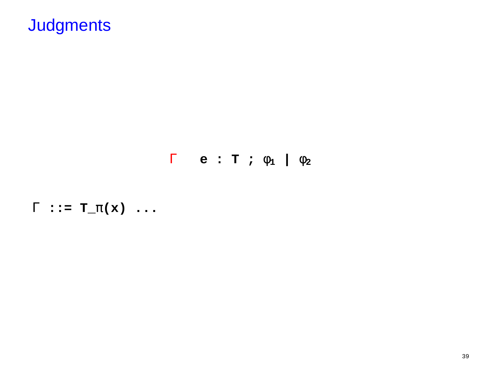$\Gamma$  e: T;  $\phi_1$  |  $\phi_2$ 

 $\Gamma$  ::=  $T_{\mathcal{I}}(x)$  ...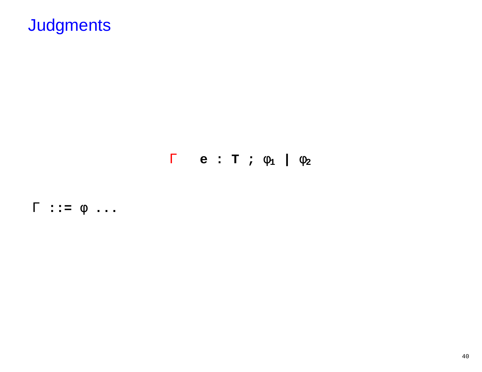$\Gamma$  e: T;  $\phi_1$  |  $\phi_2$ 

 $\Gamma$  ::=  $\phi$  ...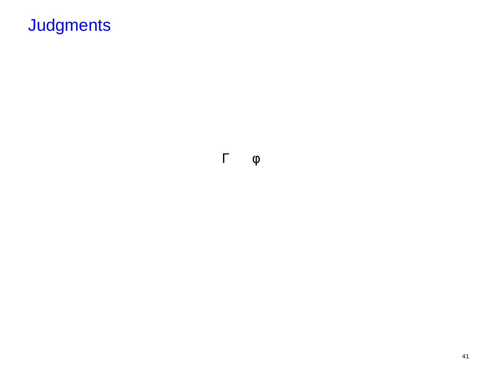Γ φ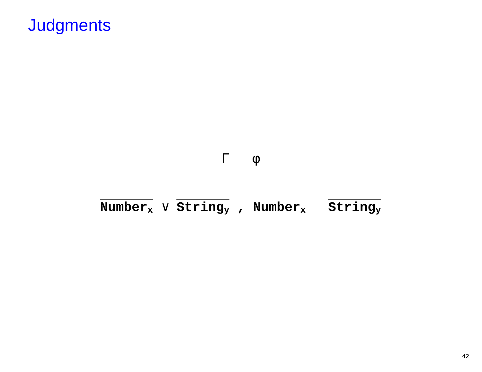#### Γ φ

#### **Numberx** <sup>∨</sup> **Stringy , Number<sup>x</sup> String<sup>y</sup>**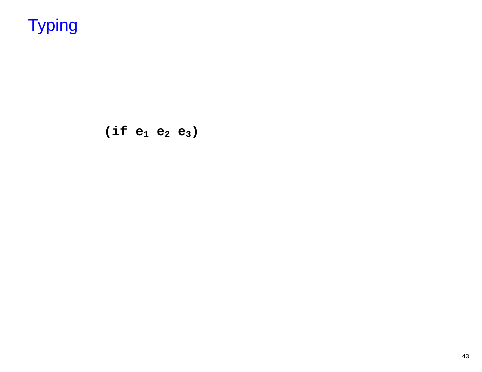$(if e_1 e_2 e_3)$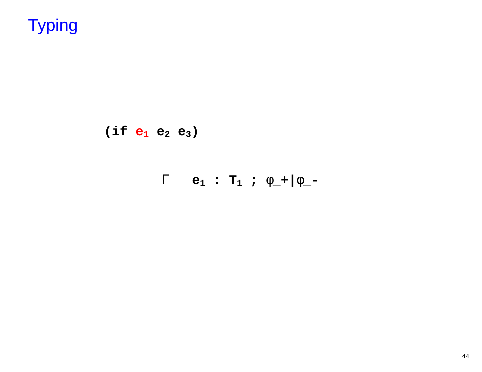$(if e_1 e_2 e_3)$ 

 $\Gamma$  e<sub>1</sub> : T<sub>1</sub> ;  $\phi$ <sub>-</sub>+ | $\phi$ <sub>-</sub>-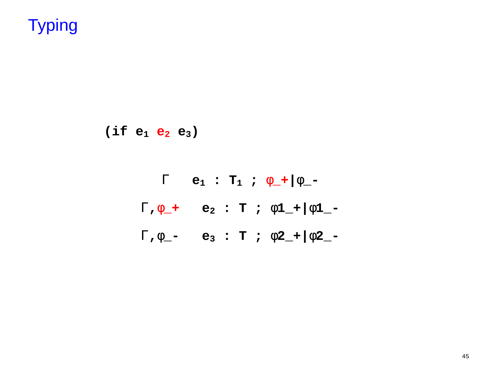**(if e1 <sup>e</sup>2 e3)**

$$
\Gamma \quad e_1 : T_1 ; \phi_- + |\phi_- -
$$
  

$$
\Gamma, \phi_- + e_2 : T ; \phi_1 + |\phi_1_- -
$$
  

$$
\Gamma, \phi_- - e_3 : T ; \phi_2 + |\phi_2_- -
$$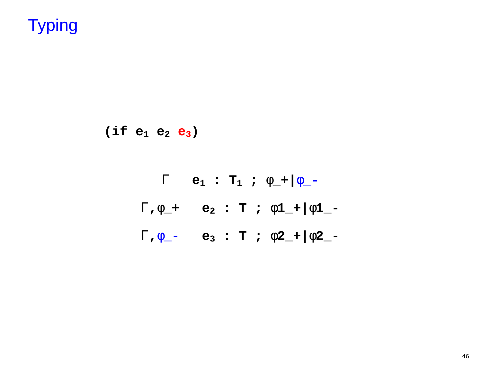**(if e1 e2 <sup>e</sup>3)**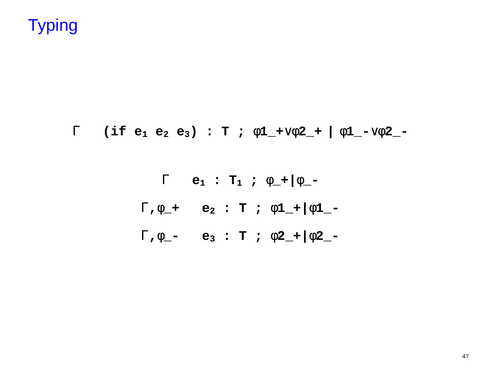#### <sup>Γ</sup> **(if e1 e2 e3) : T ;** φ**1\_+**∨φ**2\_+ |** <sup>φ</sup>**1\_-**∨φ**2\_-**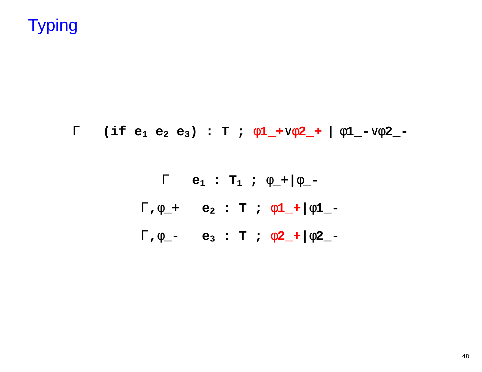#### Γ **(if e1 e2 e3) : T ;** φ**1\_+**∨φ**2\_+ |** <sup>φ</sup>**1\_-**∨φ**2\_-**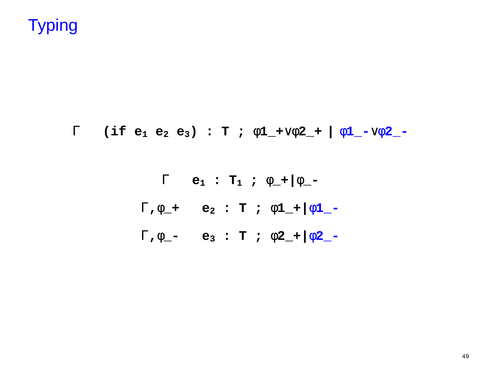#### <sup>Γ</sup> **(if e1 e2 e3) : T ;** φ**1\_+**∨φ**2\_+ |** <sup>φ</sup>**1\_-**∨φ**2\_-**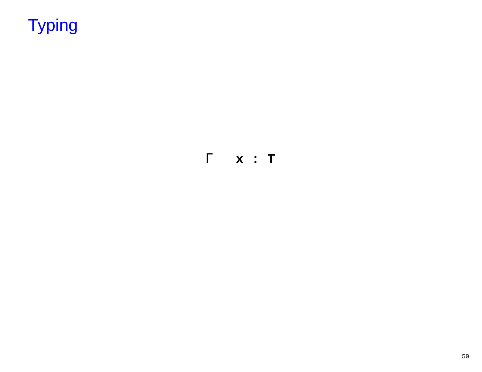$\Gamma$  x : T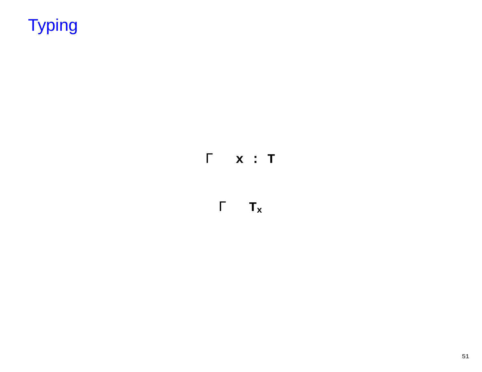$\Gamma$  x : T

 $\Gamma$   $\quad$   $\mathbf{T}_{\mathbf{x}}$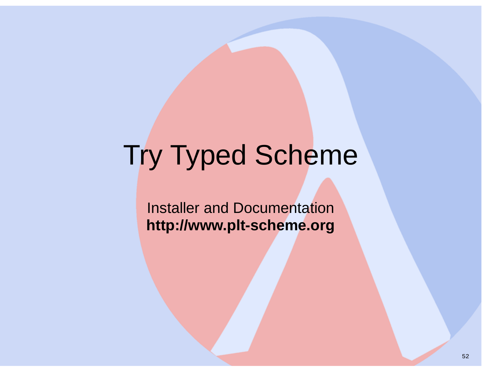# Try Typed Scheme

Installer and Documentation**http://www.plt-scheme.org**